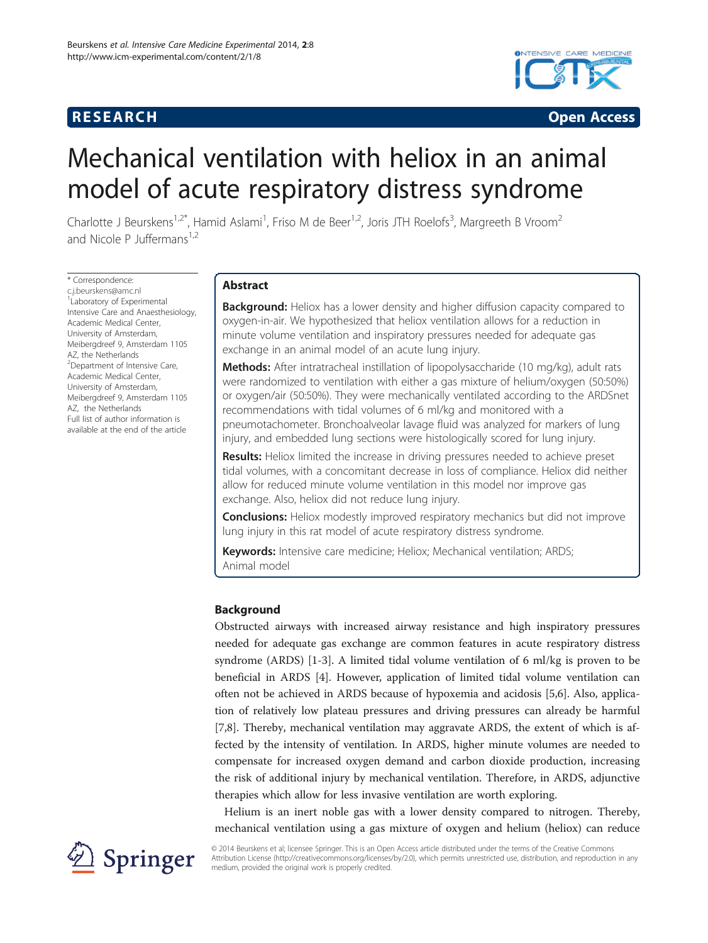



# Mechanical ventilation with heliox in an animal model of acute respiratory distress syndrome

Charlotte J Beurskens<sup>1,2\*</sup>, Hamid Aslami<sup>1</sup>, Friso M de Beer<sup>1,2</sup>, Joris JTH Roelofs<sup>3</sup>, Margreeth B Vroom<sup>2</sup> and Nicole P Juffermans $1,2$ 

\* Correspondence: [c.j.beurskens@amc.nl](mailto:c.j.beurskens@amc.nl) 1 Laboratory of Experimental Intensive Care and Anaesthesiology, Academic Medical Center, University of Amsterdam, Meibergdreef 9, Amsterdam 1105 AZ, the Netherlands <sup>2</sup>Department of Intensive Care, Academic Medical Center, University of Amsterdam, Meibergdreef 9, Amsterdam 1105 AZ, the Netherlands Full list of author information is available at the end of the article

# Abstract

**Background:** Heliox has a lower density and higher diffusion capacity compared to oxygen-in-air. We hypothesized that heliox ventilation allows for a reduction in minute volume ventilation and inspiratory pressures needed for adequate gas exchange in an animal model of an acute lung injury.

Methods: After intratracheal instillation of lipopolysaccharide (10 mg/kg), adult rats were randomized to ventilation with either a gas mixture of helium/oxygen (50:50%) or oxygen/air (50:50%). They were mechanically ventilated according to the ARDSnet recommendations with tidal volumes of 6 ml/kg and monitored with a pneumotachometer. Bronchoalveolar lavage fluid was analyzed for markers of lung injury, and embedded lung sections were histologically scored for lung injury.

**Results:** Heliox limited the increase in driving pressures needed to achieve preset tidal volumes, with a concomitant decrease in loss of compliance. Heliox did neither allow for reduced minute volume ventilation in this model nor improve gas exchange. Also, heliox did not reduce lung injury.

**Conclusions:** Heliox modestly improved respiratory mechanics but did not improve lung injury in this rat model of acute respiratory distress syndrome.

Keywords: Intensive care medicine; Heliox; Mechanical ventilation; ARDS; Animal model

# Background

Obstructed airways with increased airway resistance and high inspiratory pressures needed for adequate gas exchange are common features in acute respiratory distress syndrome (ARDS) [\[1](#page-7-0)-[3\]](#page-7-0). A limited tidal volume ventilation of 6 ml/kg is proven to be beneficial in ARDS [[4\]](#page-7-0). However, application of limited tidal volume ventilation can often not be achieved in ARDS because of hypoxemia and acidosis [\[5,6](#page-7-0)]. Also, application of relatively low plateau pressures and driving pressures can already be harmful [[7,8\]](#page-7-0). Thereby, mechanical ventilation may aggravate ARDS, the extent of which is affected by the intensity of ventilation. In ARDS, higher minute volumes are needed to compensate for increased oxygen demand and carbon dioxide production, increasing the risk of additional injury by mechanical ventilation. Therefore, in ARDS, adjunctive therapies which allow for less invasive ventilation are worth exploring.

Helium is an inert noble gas with a lower density compared to nitrogen. Thereby, mechanical ventilation using a gas mixture of oxygen and helium (heliox) can reduce



© 2014 Beurskens et al; licensee Springer. This is an Open Access article distributed under the terms of the Creative Commons Attribution License [\(http://creativecommons.org/licenses/by/2.0\)](http://creativecommons.org/licenses/by/2.0), which permits unrestricted use, distribution, and reproduction in any medium, provided the original work is properly credited.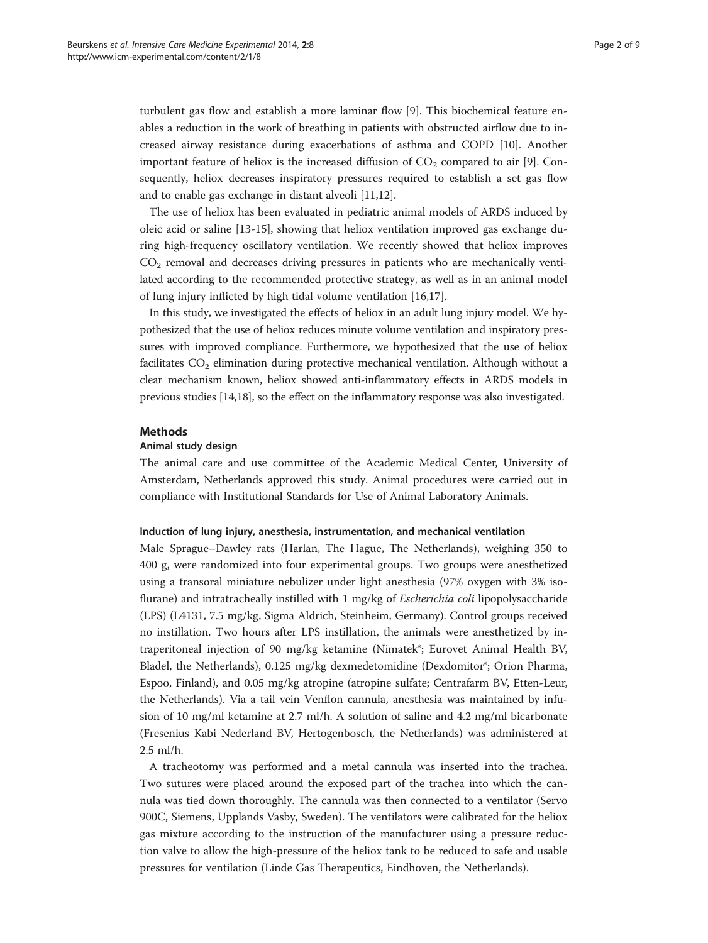turbulent gas flow and establish a more laminar flow [[9\]](#page-7-0). This biochemical feature enables a reduction in the work of breathing in patients with obstructed airflow due to increased airway resistance during exacerbations of asthma and COPD [[10](#page-7-0)]. Another important feature of heliox is the increased diffusion of  $CO<sub>2</sub>$  compared to air [\[9](#page-7-0)]. Consequently, heliox decreases inspiratory pressures required to establish a set gas flow and to enable gas exchange in distant alveoli [\[11,12](#page-7-0)].

The use of heliox has been evaluated in pediatric animal models of ARDS induced by oleic acid or saline [\[13](#page-7-0)-[15\]](#page-7-0), showing that heliox ventilation improved gas exchange during high-frequency oscillatory ventilation. We recently showed that heliox improves  $CO<sub>2</sub>$  removal and decreases driving pressures in patients who are mechanically ventilated according to the recommended protective strategy, as well as in an animal model of lung injury inflicted by high tidal volume ventilation [[16,17\]](#page-7-0).

In this study, we investigated the effects of heliox in an adult lung injury model. We hypothesized that the use of heliox reduces minute volume ventilation and inspiratory pressures with improved compliance. Furthermore, we hypothesized that the use of heliox facilitates  $CO<sub>2</sub>$  elimination during protective mechanical ventilation. Although without a clear mechanism known, heliox showed anti-inflammatory effects in ARDS models in previous studies [[14,18\]](#page-7-0), so the effect on the inflammatory response was also investigated.

#### **Methods**

# Animal study design

The animal care and use committee of the Academic Medical Center, University of Amsterdam, Netherlands approved this study. Animal procedures were carried out in compliance with Institutional Standards for Use of Animal Laboratory Animals.

#### Induction of lung injury, anesthesia, instrumentation, and mechanical ventilation

Male Sprague–Dawley rats (Harlan, The Hague, The Netherlands), weighing 350 to 400 g, were randomized into four experimental groups. Two groups were anesthetized using a transoral miniature nebulizer under light anesthesia (97% oxygen with 3% isoflurane) and intratracheally instilled with 1 mg/kg of *Escherichia coli* lipopolysaccharide (LPS) (L4131, 7.5 mg/kg, Sigma Aldrich, Steinheim, Germany). Control groups received no instillation. Two hours after LPS instillation, the animals were anesthetized by intraperitoneal injection of 90 mg/kg ketamine (Nimatek®; Eurovet Animal Health BV, Bladel, the Netherlands), 0.125 mg/kg dexmedetomidine (Dexdomitor®; Orion Pharma, Espoo, Finland), and 0.05 mg/kg atropine (atropine sulfate; Centrafarm BV, Etten-Leur, the Netherlands). Via a tail vein Venflon cannula, anesthesia was maintained by infusion of 10 mg/ml ketamine at 2.7 ml/h. A solution of saline and 4.2 mg/ml bicarbonate (Fresenius Kabi Nederland BV, Hertogenbosch, the Netherlands) was administered at 2.5 ml/h.

A tracheotomy was performed and a metal cannula was inserted into the trachea. Two sutures were placed around the exposed part of the trachea into which the cannula was tied down thoroughly. The cannula was then connected to a ventilator (Servo 900C, Siemens, Upplands Vasby, Sweden). The ventilators were calibrated for the heliox gas mixture according to the instruction of the manufacturer using a pressure reduction valve to allow the high-pressure of the heliox tank to be reduced to safe and usable pressures for ventilation (Linde Gas Therapeutics, Eindhoven, the Netherlands).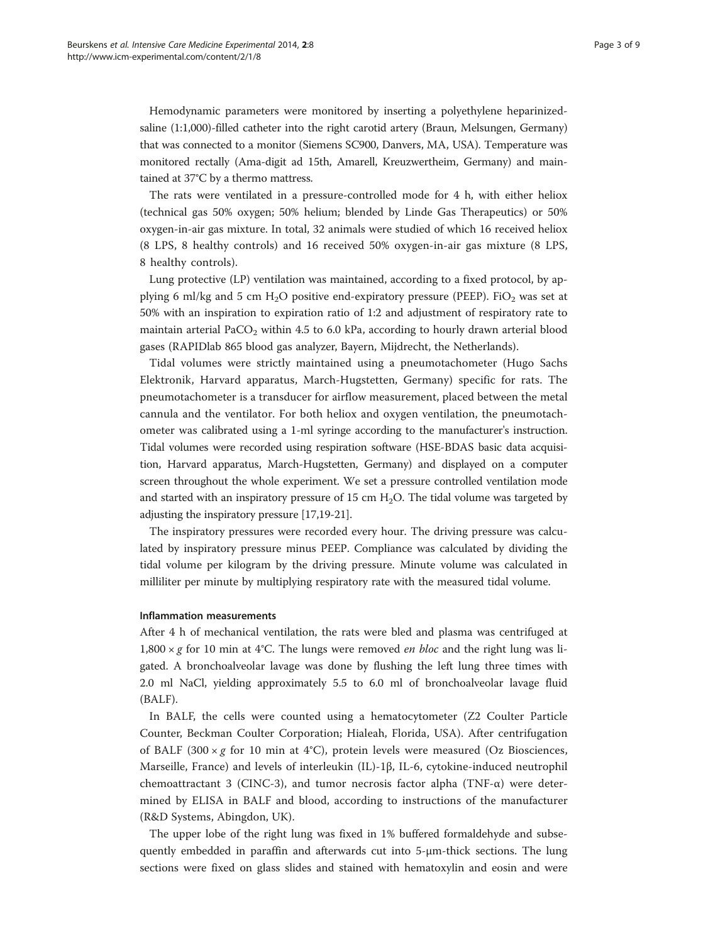Hemodynamic parameters were monitored by inserting a polyethylene heparinizedsaline (1:1,000)-filled catheter into the right carotid artery (Braun, Melsungen, Germany) that was connected to a monitor (Siemens SC900, Danvers, MA, USA). Temperature was monitored rectally (Ama-digit ad 15th, Amarell, Kreuzwertheim, Germany) and maintained at 37°C by a thermo mattress.

The rats were ventilated in a pressure-controlled mode for 4 h, with either heliox (technical gas 50% oxygen; 50% helium; blended by Linde Gas Therapeutics) or 50% oxygen-in-air gas mixture. In total, 32 animals were studied of which 16 received heliox (8 LPS, 8 healthy controls) and 16 received 50% oxygen-in-air gas mixture (8 LPS, 8 healthy controls).

Lung protective (LP) ventilation was maintained, according to a fixed protocol, by applying 6 ml/kg and 5 cm  $H_2O$  positive end-expiratory pressure (PEEP). FiO<sub>2</sub> was set at 50% with an inspiration to expiration ratio of 1:2 and adjustment of respiratory rate to maintain arterial PaCO<sub>2</sub> within 4.5 to 6.0 kPa, according to hourly drawn arterial blood gases (RAPIDlab 865 blood gas analyzer, Bayern, Mijdrecht, the Netherlands).

Tidal volumes were strictly maintained using a pneumotachometer (Hugo Sachs Elektronik, Harvard apparatus, March-Hugstetten, Germany) specific for rats. The pneumotachometer is a transducer for airflow measurement, placed between the metal cannula and the ventilator. For both heliox and oxygen ventilation, the pneumotachometer was calibrated using a 1-ml syringe according to the manufacturer's instruction. Tidal volumes were recorded using respiration software (HSE-BDAS basic data acquisition, Harvard apparatus, March-Hugstetten, Germany) and displayed on a computer screen throughout the whole experiment. We set a pressure controlled ventilation mode and started with an inspiratory pressure of 15 cm  $H<sub>2</sub>O$ . The tidal volume was targeted by adjusting the inspiratory pressure [[17](#page-7-0)[,19-21](#page-8-0)].

The inspiratory pressures were recorded every hour. The driving pressure was calculated by inspiratory pressure minus PEEP. Compliance was calculated by dividing the tidal volume per kilogram by the driving pressure. Minute volume was calculated in milliliter per minute by multiplying respiratory rate with the measured tidal volume.

#### Inflammation measurements

After 4 h of mechanical ventilation, the rats were bled and plasma was centrifuged at 1,800  $\times$  g for 10 min at 4°C. The lungs were removed *en bloc* and the right lung was ligated. A bronchoalveolar lavage was done by flushing the left lung three times with 2.0 ml NaCl, yielding approximately 5.5 to 6.0 ml of bronchoalveolar lavage fluid (BALF).

In BALF, the cells were counted using a hematocytometer (Z2 Coulter Particle Counter, Beckman Coulter Corporation; Hialeah, Florida, USA). After centrifugation of BALF (300  $\times$  g for 10 min at 4°C), protein levels were measured (Oz Biosciences, Marseille, France) and levels of interleukin (IL)-1β, IL-6, cytokine-induced neutrophil chemoattractant 3 (CINC-3), and tumor necrosis factor alpha (TNF- $\alpha$ ) were determined by ELISA in BALF and blood, according to instructions of the manufacturer (R&D Systems, Abingdon, UK).

The upper lobe of the right lung was fixed in 1% buffered formaldehyde and subsequently embedded in paraffin and afterwards cut into 5-μm-thick sections. The lung sections were fixed on glass slides and stained with hematoxylin and eosin and were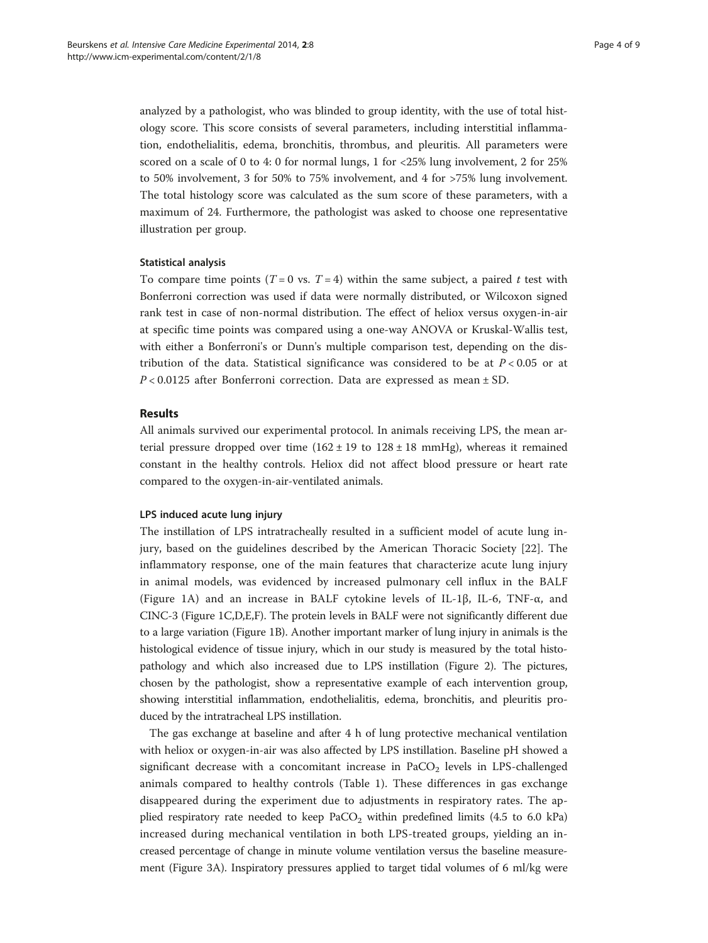analyzed by a pathologist, who was blinded to group identity, with the use of total histology score. This score consists of several parameters, including interstitial inflammation, endothelialitis, edema, bronchitis, thrombus, and pleuritis. All parameters were scored on a scale of 0 to 4: 0 for normal lungs, 1 for <25% lung involvement, 2 for 25% to 50% involvement, 3 for 50% to 75% involvement, and 4 for >75% lung involvement. The total histology score was calculated as the sum score of these parameters, with a maximum of 24. Furthermore, the pathologist was asked to choose one representative illustration per group.

## Statistical analysis

To compare time points ( $T = 0$  vs.  $T = 4$ ) within the same subject, a paired t test with Bonferroni correction was used if data were normally distributed, or Wilcoxon signed rank test in case of non-normal distribution. The effect of heliox versus oxygen-in-air at specific time points was compared using a one-way ANOVA or Kruskal-Wallis test, with either a Bonferroni's or Dunn's multiple comparison test, depending on the distribution of the data. Statistical significance was considered to be at  $P < 0.05$  or at  $P < 0.0125$  after Bonferroni correction. Data are expressed as mean  $\pm$  SD.

# Results

All animals survived our experimental protocol. In animals receiving LPS, the mean arterial pressure dropped over time  $(162 \pm 19)$  to  $128 \pm 18$  mmHg), whereas it remained constant in the healthy controls. Heliox did not affect blood pressure or heart rate compared to the oxygen-in-air-ventilated animals.

#### LPS induced acute lung injury

The instillation of LPS intratracheally resulted in a sufficient model of acute lung injury, based on the guidelines described by the American Thoracic Society [[22\]](#page-8-0). The inflammatory response, one of the main features that characterize acute lung injury in animal models, was evidenced by increased pulmonary cell influx in the BALF (Figure [1](#page-4-0)A) and an increase in BALF cytokine levels of IL-1 $\beta$ , IL-6, TNF- $\alpha$ , and CINC-3 (Figure [1](#page-4-0)C,D,E,F). The protein levels in BALF were not significantly different due to a large variation (Figure [1](#page-4-0)B). Another important marker of lung injury in animals is the histological evidence of tissue injury, which in our study is measured by the total histopathology and which also increased due to LPS instillation (Figure [2](#page-4-0)). The pictures, chosen by the pathologist, show a representative example of each intervention group, showing interstitial inflammation, endothelialitis, edema, bronchitis, and pleuritis produced by the intratracheal LPS instillation.

The gas exchange at baseline and after 4 h of lung protective mechanical ventilation with heliox or oxygen-in-air was also affected by LPS instillation. Baseline pH showed a significant decrease with a concomitant increase in  $PaCO<sub>2</sub>$  levels in LPS-challenged animals compared to healthy controls (Table [1\)](#page-5-0). These differences in gas exchange disappeared during the experiment due to adjustments in respiratory rates. The applied respiratory rate needed to keep  $PaCO<sub>2</sub>$  within predefined limits (4.5 to 6.0 kPa) increased during mechanical ventilation in both LPS-treated groups, yielding an increased percentage of change in minute volume ventilation versus the baseline measurement (Figure [3A](#page-5-0)). Inspiratory pressures applied to target tidal volumes of 6 ml/kg were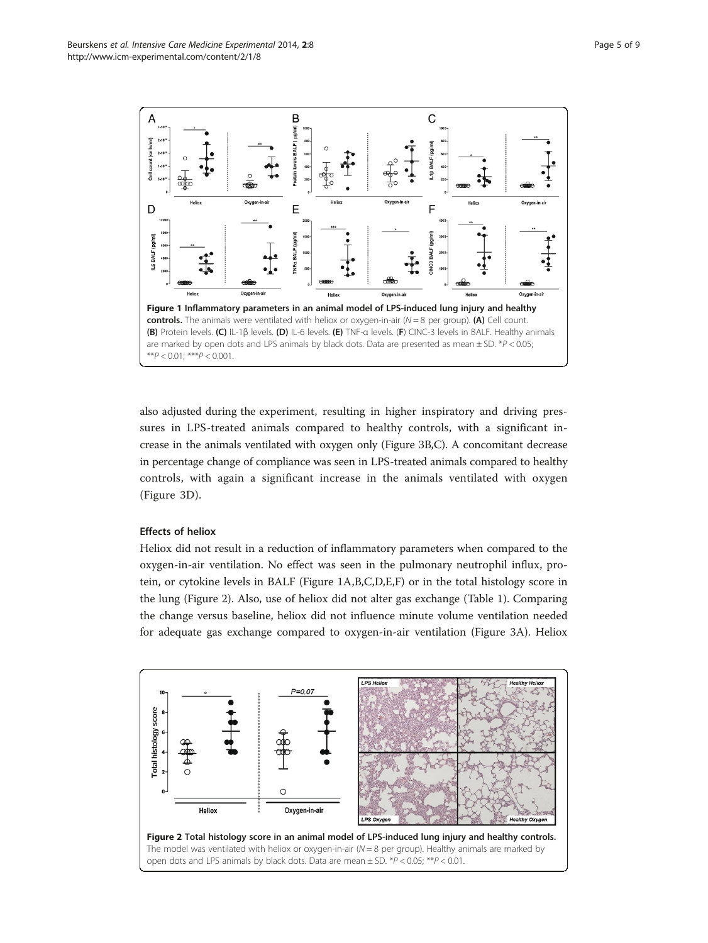<span id="page-4-0"></span>

also adjusted during the experiment, resulting in higher inspiratory and driving pressures in LPS-treated animals compared to healthy controls, with a significant increase in the animals ventilated with oxygen only (Figure [3](#page-5-0)B,C). A concomitant decrease in percentage change of compliance was seen in LPS-treated animals compared to healthy controls, with again a significant increase in the animals ventilated with oxygen (Figure [3D](#page-5-0)).

## Effects of heliox

Heliox did not result in a reduction of inflammatory parameters when compared to the oxygen-in-air ventilation. No effect was seen in the pulmonary neutrophil influx, protein, or cytokine levels in BALF (Figure 1A,B,C,D,E,F) or in the total histology score in the lung (Figure 2). Also, use of heliox did not alter gas exchange (Table [1](#page-5-0)). Comparing the change versus baseline, heliox did not influence minute volume ventilation needed for adequate gas exchange compared to oxygen-in-air ventilation (Figure [3](#page-5-0)A). Heliox

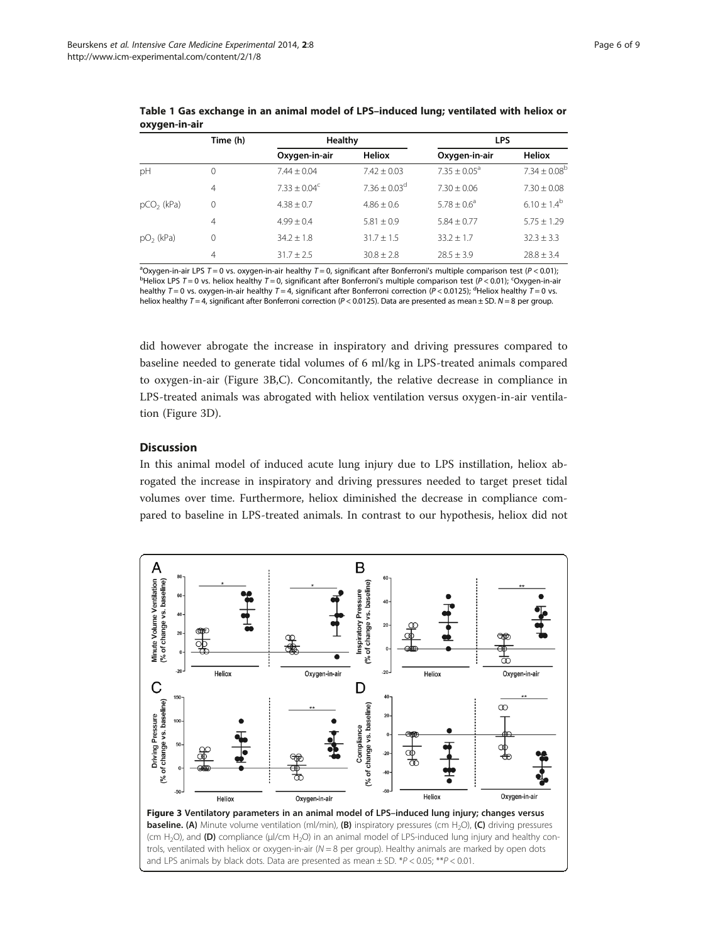|                        | Time (h)       | Healthy         |                 | <b>LPS</b>      |                  |
|------------------------|----------------|-----------------|-----------------|-----------------|------------------|
|                        |                | Oxygen-in-air   | <b>Heliox</b>   | Oxygen-in-air   | <b>Heliox</b>    |
| рH                     | $\Omega$       | $7.44 + 0.04$   | $7.42 + 0.03$   | $7.35 + 0.05^a$ | $7.34 + 0.08^b$  |
|                        | $\overline{4}$ | $7.33 + 0.04^c$ | $7.36 + 0.03^d$ | $7.30 + 0.06$   | $7.30 \pm 0.08$  |
| pCO <sub>2</sub> (kPa) | $\Omega$       | $4.38 \pm 0.7$  | $4.86 + 0.6$    | $5.78 + 0.6^a$  | $6.10 \pm 1.4^b$ |
|                        | $\overline{4}$ | $4.99 + 0.4$    | $5.81 \pm 0.9$  | $5.84 + 0.77$   | $5.75 + 1.29$    |
| pO <sub>2</sub> (kPa)  | 0              | $34.2 \pm 1.8$  | $31.7 \pm 1.5$  | $33.2 \pm 1.7$  | $32.3 + 3.3$     |
|                        | 4              | $31.7 + 2.5$    | $30.8 \pm 2.8$  | $28.5 \pm 3.9$  | $28.8 \pm 3.4$   |

<span id="page-5-0"></span>Table 1 Gas exchange in an animal model of LPS–induced lung; ventilated with heliox or oxygen-in-air

<sup>a</sup>Oxygen-in-air LPS T = 0 vs. oxygen-in-air healthy T = 0, significant after Bonferroni's multiple comparison test (P < 0.01);<br><sup>b</sup>Heliox LPS T = 0 vs. beliox healthy T = 0, significant after Bonferroni's multiple compari Heliox LPS  $T = 0$  vs. heliox healthy  $T = 0$ , significant after Bonferroni's multiple comparison test (P < 0.01); <sup>c</sup>Oxygen-in-air healthy  $T = 0$  vs. oxygen-in-air healthy  $T = 4$ , significant after Bonferroni correction (P < 0.0125); <sup>d</sup>Heliox healthy  $T = 0$  vs. heliox healthy  $T = 4$ , significant after Bonferroni correction ( $P < 0.0125$ ). Data are presented as mean  $\pm$  SD. N = 8 per group.

did however abrogate the increase in inspiratory and driving pressures compared to baseline needed to generate tidal volumes of 6 ml/kg in LPS-treated animals compared to oxygen-in-air (Figure 3B,C). Concomitantly, the relative decrease in compliance in LPS-treated animals was abrogated with heliox ventilation versus oxygen-in-air ventilation (Figure 3D).

# **Discussion**

In this animal model of induced acute lung injury due to LPS instillation, heliox abrogated the increase in inspiratory and driving pressures needed to target preset tidal volumes over time. Furthermore, heliox diminished the decrease in compliance compared to baseline in LPS-treated animals. In contrast to our hypothesis, heliox did not

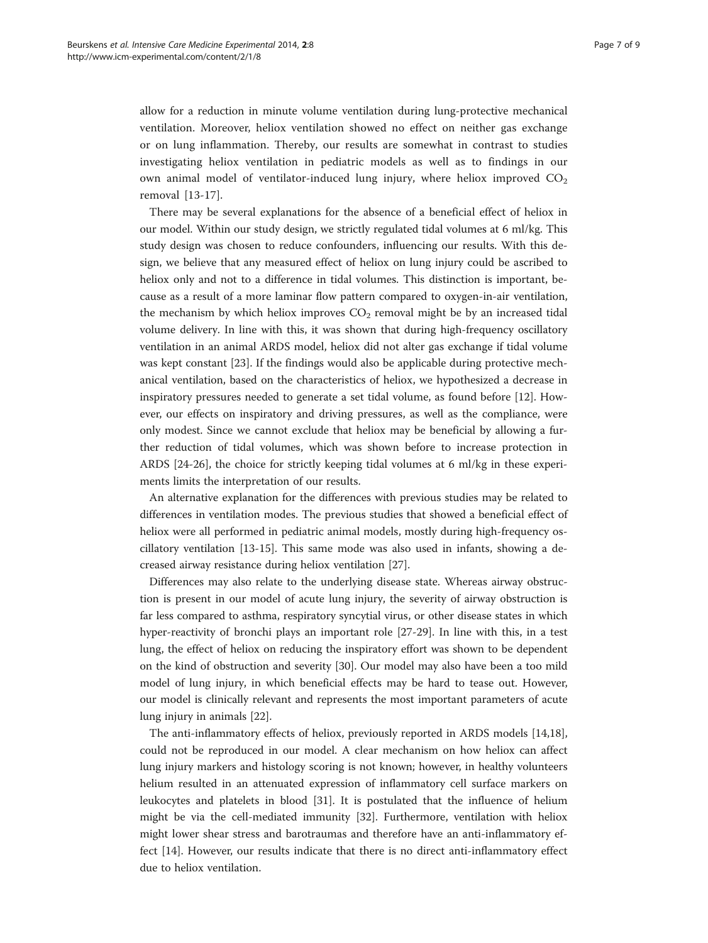allow for a reduction in minute volume ventilation during lung-protective mechanical ventilation. Moreover, heliox ventilation showed no effect on neither gas exchange or on lung inflammation. Thereby, our results are somewhat in contrast to studies investigating heliox ventilation in pediatric models as well as to findings in our own animal model of ventilator-induced lung injury, where heliox improved  $CO<sub>2</sub>$ removal [\[13](#page-7-0)-[17](#page-7-0)].

There may be several explanations for the absence of a beneficial effect of heliox in our model. Within our study design, we strictly regulated tidal volumes at 6 ml/kg. This study design was chosen to reduce confounders, influencing our results. With this design, we believe that any measured effect of heliox on lung injury could be ascribed to heliox only and not to a difference in tidal volumes. This distinction is important, because as a result of a more laminar flow pattern compared to oxygen-in-air ventilation, the mechanism by which heliox improves  $CO<sub>2</sub>$  removal might be by an increased tidal volume delivery. In line with this, it was shown that during high-frequency oscillatory ventilation in an animal ARDS model, heliox did not alter gas exchange if tidal volume was kept constant [\[23](#page-8-0)]. If the findings would also be applicable during protective mechanical ventilation, based on the characteristics of heliox, we hypothesized a decrease in inspiratory pressures needed to generate a set tidal volume, as found before [\[12](#page-7-0)]. However, our effects on inspiratory and driving pressures, as well as the compliance, were only modest. Since we cannot exclude that heliox may be beneficial by allowing a further reduction of tidal volumes, which was shown before to increase protection in ARDS [\[24](#page-8-0)-[26\]](#page-8-0), the choice for strictly keeping tidal volumes at 6 ml/kg in these experiments limits the interpretation of our results.

An alternative explanation for the differences with previous studies may be related to differences in ventilation modes. The previous studies that showed a beneficial effect of heliox were all performed in pediatric animal models, mostly during high-frequency oscillatory ventilation [[13-15\]](#page-7-0). This same mode was also used in infants, showing a decreased airway resistance during heliox ventilation [[27\]](#page-8-0).

Differences may also relate to the underlying disease state. Whereas airway obstruction is present in our model of acute lung injury, the severity of airway obstruction is far less compared to asthma, respiratory syncytial virus, or other disease states in which hyper-reactivity of bronchi plays an important role [\[27](#page-8-0)-[29\]](#page-8-0). In line with this, in a test lung, the effect of heliox on reducing the inspiratory effort was shown to be dependent on the kind of obstruction and severity [\[30\]](#page-8-0). Our model may also have been a too mild model of lung injury, in which beneficial effects may be hard to tease out. However, our model is clinically relevant and represents the most important parameters of acute lung injury in animals [[22](#page-8-0)].

The anti-inflammatory effects of heliox, previously reported in ARDS models [[14](#page-7-0),[18](#page-7-0)], could not be reproduced in our model. A clear mechanism on how heliox can affect lung injury markers and histology scoring is not known; however, in healthy volunteers helium resulted in an attenuated expression of inflammatory cell surface markers on leukocytes and platelets in blood [[31\]](#page-8-0). It is postulated that the influence of helium might be via the cell-mediated immunity [[32\]](#page-8-0). Furthermore, ventilation with heliox might lower shear stress and barotraumas and therefore have an anti-inflammatory effect [\[14](#page-7-0)]. However, our results indicate that there is no direct anti-inflammatory effect due to heliox ventilation.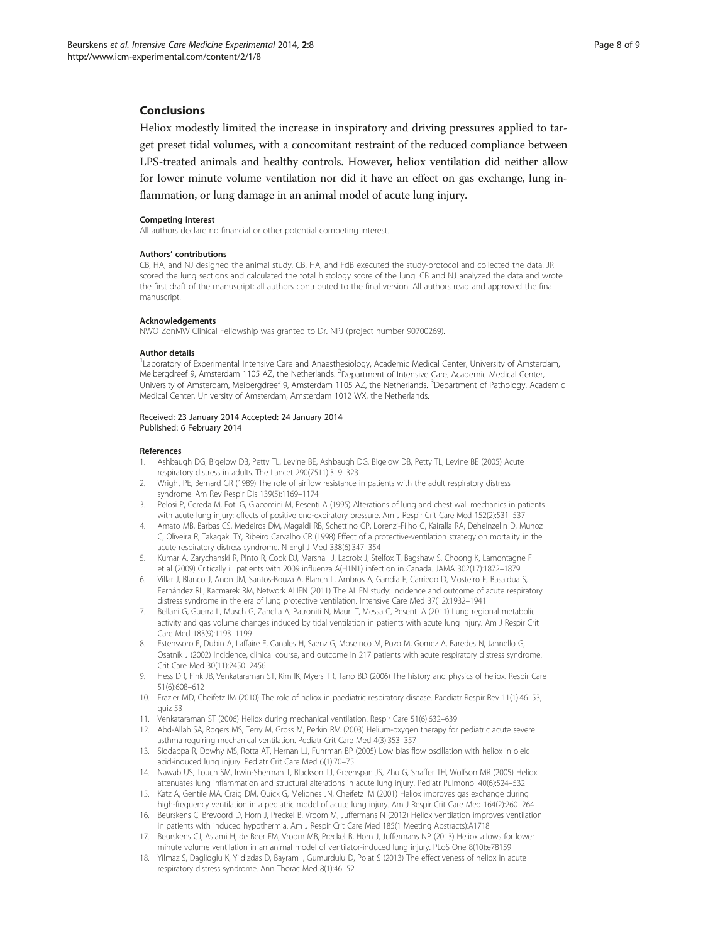# <span id="page-7-0"></span>Conclusions

Heliox modestly limited the increase in inspiratory and driving pressures applied to target preset tidal volumes, with a concomitant restraint of the reduced compliance between LPS-treated animals and healthy controls. However, heliox ventilation did neither allow for lower minute volume ventilation nor did it have an effect on gas exchange, lung inflammation, or lung damage in an animal model of acute lung injury.

#### Competing interest

All authors declare no financial or other potential competing interest.

#### Authors' contributions

CB, HA, and NJ designed the animal study. CB, HA, and FdB executed the study-protocol and collected the data. JR scored the lung sections and calculated the total histology score of the lung. CB and NJ analyzed the data and wrote the first draft of the manuscript; all authors contributed to the final version. All authors read and approved the final manuscript.

#### Acknowledgements

NWO ZonMW Clinical Fellowship was granted to Dr. NPJ (project number 90700269).

#### Author details

<sup>1</sup>Laboratory of Experimental Intensive Care and Anaesthesiology, Academic Medical Center, University of Amsterdam, Meibergdreef 9, Amsterdam 1105 AZ, the Netherlands. <sup>2</sup>Department of Intensive Care, Academic Medical Center, University of Amsterdam, Meibergdreef 9, Amsterdam 1105 AZ, the Netherlands. <sup>3</sup>Department of Pathology, Academic Medical Center, University of Amsterdam, Amsterdam 1012 WX, the Netherlands.

#### Received: 23 January 2014 Accepted: 24 January 2014 Published: 6 February 2014

#### References

- 1. Ashbaugh DG, Bigelow DB, Petty TL, Levine BE, Ashbaugh DG, Bigelow DB, Petty TL, Levine BE (2005) Acute respiratory distress in adults. The Lancet 290(7511):319–323
- 2. Wright PE, Bernard GR (1989) The role of airflow resistance in patients with the adult respiratory distress syndrome. Am Rev Respir Dis 139(5):1169–1174
- 3. Pelosi P, Cereda M, Foti G, Giacomini M, Pesenti A (1995) Alterations of lung and chest wall mechanics in patients with acute lung injury: effects of positive end-expiratory pressure. Am J Respir Crit Care Med 152(2):531–537
- 4. Amato MB, Barbas CS, Medeiros DM, Magaldi RB, Schettino GP, Lorenzi-Filho G, Kairalla RA, Deheinzelin D, Munoz C, Oliveira R, Takagaki TY, Ribeiro Carvalho CR (1998) Effect of a protective-ventilation strategy on mortality in the acute respiratory distress syndrome. N Engl J Med 338(6):347–354
- 5. Kumar A, Zarychanski R, Pinto R, Cook DJ, Marshall J, Lacroix J, Stelfox T, Bagshaw S, Choong K, Lamontagne F et al (2009) Critically ill patients with 2009 influenza A(H1N1) infection in Canada. JAMA 302(17):1872–1879
- 6. Villar J, Blanco J, Anon JM, Santos-Bouza A, Blanch L, Ambros A, Gandia F, Carriedo D, Mosteiro F, Basaldua S, Fernández RL, Kacmarek RM, Network ALIEN (2011) The ALIEN study: incidence and outcome of acute respiratory distress syndrome in the era of lung protective ventilation. Intensive Care Med 37(12):1932–1941
- 7. Bellani G, Guerra L, Musch G, Zanella A, Patroniti N, Mauri T, Messa C, Pesenti A (2011) Lung regional metabolic activity and gas volume changes induced by tidal ventilation in patients with acute lung injury. Am J Respir Crit Care Med 183(9):1193–1199
- 8. Estenssoro E, Dubin A, Laffaire E, Canales H, Saenz G, Moseinco M, Pozo M, Gomez A, Baredes N, Jannello G, Osatnik J (2002) Incidence, clinical course, and outcome in 217 patients with acute respiratory distress syndrome. Crit Care Med 30(11):2450–2456
- 9. Hess DR, Fink JB, Venkataraman ST, Kim IK, Myers TR, Tano BD (2006) The history and physics of heliox. Respir Care 51(6):608–612
- 10. Frazier MD, Cheifetz IM (2010) The role of heliox in paediatric respiratory disease. Paediatr Respir Rev 11(1):46–53, quiz 53
- 11. Venkataraman ST (2006) Heliox during mechanical ventilation. Respir Care 51(6):632–639
- 12. Abd-Allah SA, Rogers MS, Terry M, Gross M, Perkin RM (2003) Helium-oxygen therapy for pediatric acute severe asthma requiring mechanical ventilation. Pediatr Crit Care Med 4(3):353–357
- 13. Siddappa R, Dowhy MS, Rotta AT, Hernan LJ, Fuhrman BP (2005) Low bias flow oscillation with heliox in oleic acid-induced lung injury. Pediatr Crit Care Med 6(1):70–75
- 14. Nawab US, Touch SM, Irwin-Sherman T, Blackson TJ, Greenspan JS, Zhu G, Shaffer TH, Wolfson MR (2005) Heliox attenuates lung inflammation and structural alterations in acute lung injury. Pediatr Pulmonol 40(6):524–532
- 15. Katz A, Gentile MA, Craig DM, Quick G, Meliones JN, Cheifetz IM (2001) Heliox improves gas exchange during high-frequency ventilation in a pediatric model of acute lung injury. Am J Respir Crit Care Med 164(2):260–264
- 16. Beurskens C, Brevoord D, Horn J, Preckel B, Vroom M, Juffermans N (2012) Heliox ventilation improves ventilation in patients with induced hypothermia. Am J Respir Crit Care Med 185(1 Meeting Abstracts):A1718
- 17. Beurskens CJ, Aslami H, de Beer FM, Vroom MB, Preckel B, Horn J, Juffermans NP (2013) Heliox allows for lower minute volume ventilation in an animal model of ventilator-induced lung injury. PLoS One 8(10):e78159
- 18. Yilmaz S, Daglioglu K, Yildizdas D, Bayram I, Gumurdulu D, Polat S (2013) The effectiveness of heliox in acute respiratory distress syndrome. Ann Thorac Med 8(1):46–52